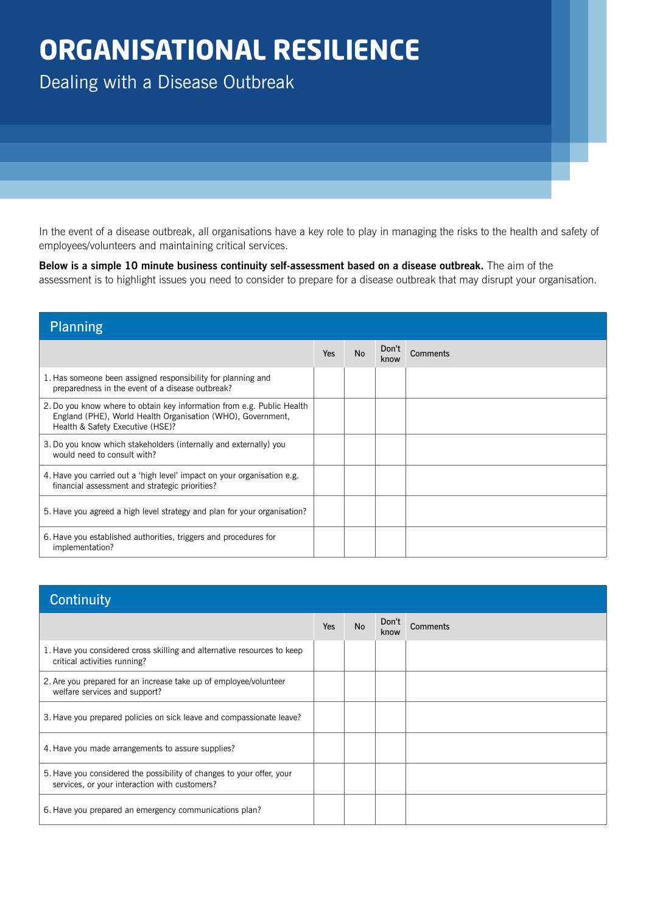## **ORGANISATIONAL RESILIENCE**

Dealing with a Disease Outbreak

In the event of a disease outbreak, all organisations have a key role to play in managing the risks to the health and safety of employees/volunteers and maintaining critical services.

**Below is a simple 10 minute business continuity self-assessment based on a disease outbreak.** The aim of the assessment is to highlight issues you need to consider to prepare for a disease outbreak that may disrupt your organisation.

| <b>Planning</b>                                                                                                                                                           |     |           |               |                 |  |
|---------------------------------------------------------------------------------------------------------------------------------------------------------------------------|-----|-----------|---------------|-----------------|--|
|                                                                                                                                                                           | Yes | <b>No</b> | Don't<br>know | <b>Comments</b> |  |
| 1. Has someone been assigned responsibility for planning and<br>preparedness in the event of a disease outbreak?                                                          |     |           |               |                 |  |
| 2. Do you know where to obtain key information from e.g. Public Health<br>England (PHE), World Health Organisation (WHO), Government,<br>Health & Safety Executive (HSE)? |     |           |               |                 |  |
| 3. Do you know which stakeholders (internally and externally) you<br>would need to consult with?                                                                          |     |           |               |                 |  |
| 4. Have you carried out a 'high level' impact on your organisation e.g.<br>financial assessment and strategic priorities?                                                 |     |           |               |                 |  |
| 5. Have you agreed a high level strategy and plan for your organisation?                                                                                                  |     |           |               |                 |  |
| 6. Have you established authorities, triggers and procedures for<br>implementation?                                                                                       |     |           |               |                 |  |

| <b>Continuity</b>                                                                                                      |     |           |               |                 |  |
|------------------------------------------------------------------------------------------------------------------------|-----|-----------|---------------|-----------------|--|
|                                                                                                                        | Yes | <b>No</b> | Don't<br>know | <b>Comments</b> |  |
| 1. Have you considered cross skilling and alternative resources to keep<br>critical activities running?                |     |           |               |                 |  |
| 2. Are you prepared for an increase take up of employee/volunteer<br>welfare services and support?                     |     |           |               |                 |  |
| 3. Have you prepared policies on sick leave and compassionate leave?                                                   |     |           |               |                 |  |
| 4. Have you made arrangements to assure supplies?                                                                      |     |           |               |                 |  |
| 5. Have you considered the possibility of changes to your offer, your<br>services, or your interaction with customers? |     |           |               |                 |  |
| 6. Have you prepared an emergency communications plan?                                                                 |     |           |               |                 |  |